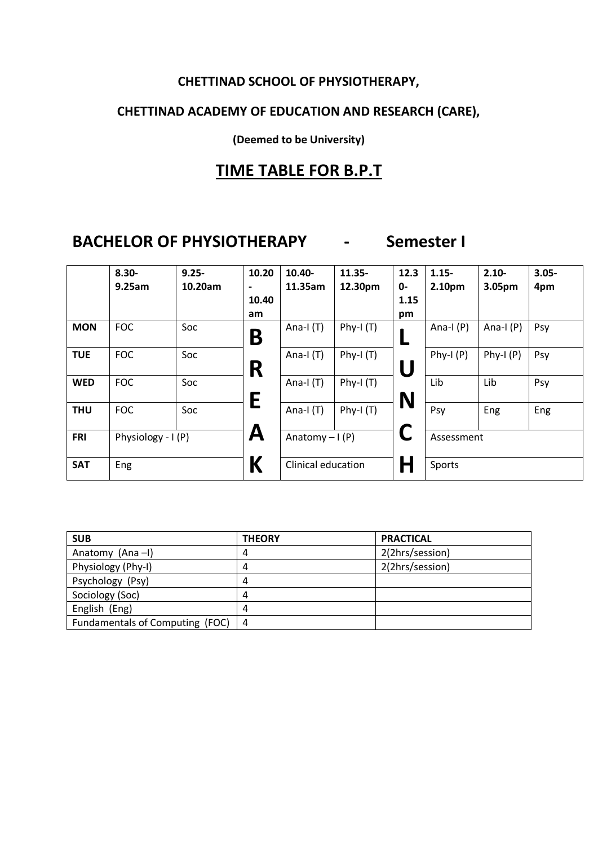#### **CHETTINAD SCHOOL OF PHYSIOTHERAPY,**

### **CHETTINAD ACADEMY OF EDUCATION AND RESEARCH (CARE),**

**(Deemed to be University)**

### **TIME TABLE FOR B.P.T**

## **BACHELOR OF PHYSIOTHERAPY - Semester I**

|            | $8.30 -$           | $9.25 -$ | 10.20 | 10.40-             | $11.35 -$   | 12.3  | $1.15 -$    | $2.10 -$    | $3.05 -$ |
|------------|--------------------|----------|-------|--------------------|-------------|-------|-------------|-------------|----------|
|            | 9.25am             | 10.20am  |       | 11.35am            | 12.30pm     | $0 -$ | 2.10pm      | 3.05pm      | 4pm      |
|            |                    |          | 10.40 |                    |             | 1.15  |             |             |          |
|            |                    |          | am    |                    |             | pm    |             |             |          |
| <b>MON</b> | <b>FOC</b>         | Soc      | Β     | Ana-I $(T)$        | Phy-I $(T)$ |       | Ana-I $(P)$ | Ana-I $(P)$ | Psy      |
| <b>TUE</b> | <b>FOC</b>         | Soc      | R     | Ana-I $(T)$        | Phy-I $(T)$ | U     | Phy-I $(P)$ | $Phy-I(P)$  | Psy      |
| <b>WED</b> | <b>FOC</b>         | Soc      | Е     | Ana-I $(T)$        | Phy-I $(T)$ | N     | Lib         | Lib         | Psy      |
| <b>THU</b> | <b>FOC</b>         | Soc      |       | Ana-I $(T)$        | Phy-I $(T)$ |       | Psy         | Eng         | Eng      |
| <b>FRI</b> | Physiology - I (P) |          | A     | Anatomy $-I(P)$    |             |       | Assessment  |             |          |
| <b>SAT</b> | Eng                |          | К     | Clinical education |             | Η     | Sports      |             |          |

| <b>SUB</b>                      | <b>THEORY</b> | <b>PRACTICAL</b> |
|---------------------------------|---------------|------------------|
| Anatomy (Ana-I)                 | 4             | 2(2hrs/session)  |
| Physiology (Phy-I)              | 4             | 2(2hrs/session)  |
| Psychology (Psy)                | 4             |                  |
| Sociology (Soc)                 | 4             |                  |
| English (Eng)                   | 4             |                  |
| Fundamentals of Computing (FOC) | 4             |                  |